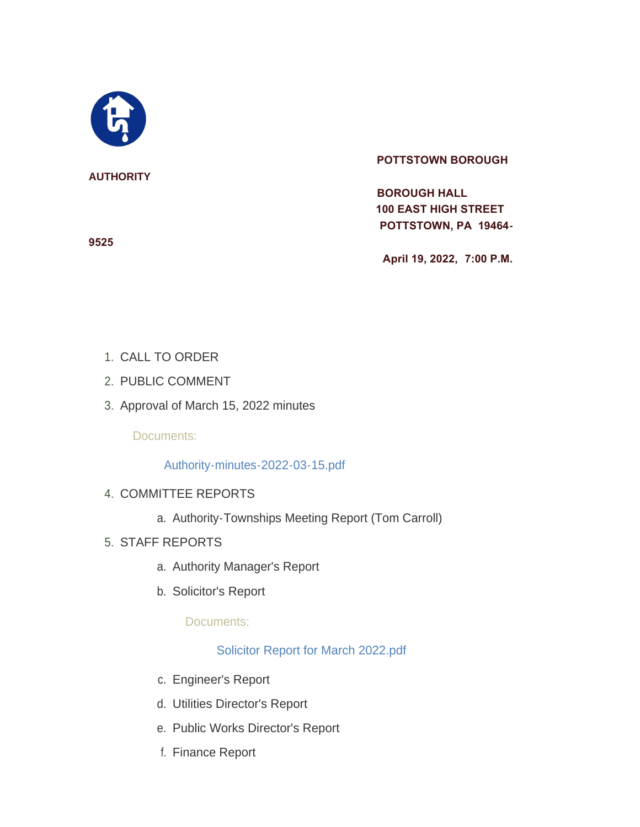

#### **AUTHORITY**

#### **POTTSTOWN BOROUGH**

 **BOROUGH HALL 100 EAST HIGH STREET POTTSTOWN, PA 19464-**

 **April 19, 2022, 7:00 P.M.**

- 1. CALL TO ORDER
- 2. PUBLIC COMMENT
- 3. Approval of March 15, 2022 minutes

Documents:

## [Authority-minutes-2022-03-15.pdf](https://www.pottstown.org/AgendaCenter/ViewFile/Item/12480?fileID=5681)

- 4. COMMITTEE REPORTS
	- a. Authority-Townships Meeting Report (Tom Carroll)
- STAFF REPORTS 5.
	- a. Authority Manager's Report
	- b. Solicitor's Report

Documents:

# [Solicitor Report for March 2022.pdf](https://www.pottstown.org/AgendaCenter/ViewFile/Item/12481?fileID=5682)

- c. Engineer's Report
- d. Utilities Director's Report
- e. Public Works Director's Report
- f. Finance Report

**9525**